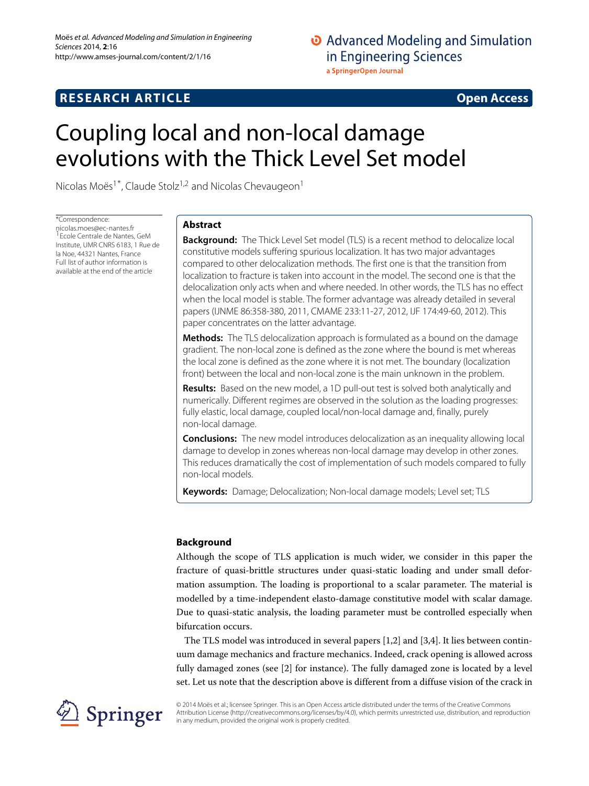# **RESEARCH ARTICLE Open Access**

# • Advanced Modeling and Simulation in Engineering Sciences a SpringerOpen Journal

# Coupling local and non-local damage evolutions with the Thick Level Set model

Nicolas Moës<sup>1\*</sup>, Claude Stolz<sup>1,2</sup> and Nicolas Chevaugeon<sup>1</sup>

\*Correspondence:

[nicolas.moes@ec-nantes.fr](mailto:nicolas.moes@ec-nantes.fr) 1Ecole Centrale de Nantes, GeM Institute, UMR CNRS 6183, 1 Rue de la Noe, 44321 Nantes, France Full list of author information is available at the end of the article

#### **Abstract**

**Background:** The Thick Level Set model (TLS) is a recent method to delocalize local constitutive models suffering spurious localization. It has two major advantages compared to other delocalization methods. The first one is that the transition from localization to fracture is taken into account in the model. The second one is that the delocalization only acts when and where needed. In other words, the TLS has no effect when the local model is stable. The former advantage was already detailed in several papers (IJNME 86:358-380, 2011, CMAME 233:11-27, 2012, IJF 174:49-60, 2012). This paper concentrates on the latter advantage.

**Methods:** The TLS delocalization approach is formulated as a bound on the damage gradient. The non-local zone is defined as the zone where the bound is met whereas the local zone is defined as the zone where it is not met. The boundary (localization front) between the local and non-local zone is the main unknown in the problem.

**Results:** Based on the new model, a 1D pull-out test is solved both analytically and numerically. Different regimes are observed in the solution as the loading progresses: fully elastic, local damage, coupled local/non-local damage and, finally, purely non-local damage.

**Conclusions:** The new model introduces delocalization as an inequality allowing local damage to develop in zones whereas non-local damage may develop in other zones. This reduces dramatically the cost of implementation of such models compared to fully non-local models.

**Keywords:** Damage; Delocalization; Non-local damage models; Level set; TLS

#### **Background**

Although the scope of TLS application is much wider, we consider in this paper the fracture of quasi-brittle structures under quasi-static loading and under small deformation assumption. The loading is proportional to a scalar parameter. The material is modelled by a time-independent elasto-damage constitutive model with scalar damage. Due to quasi-static analysis, the loading parameter must be controlled especially when bifurcation occurs.

The TLS model was introduced in several papers [\[1](#page-19-0)[,2\]](#page-19-1) and [\[3](#page-19-2)[,4\]](#page-19-3). It lies between continuum damage mechanics and fracture mechanics. Indeed, crack opening is allowed across fully damaged zones (see [\[2\]](#page-19-1) for instance). The fully damaged zone is located by a level set. Let us note that the description above is different from a diffuse vision of the crack in



© 2014 Moës et al.; licensee Springer. This is an Open Access article distributed under the terms of the Creative Commons Attribution License [\(http://creativecommons.org/licenses/by/4.0\)](http://creativecommons.org/licenses/by/4.0), which permits unrestricted use, distribution, and reproduction in any medium, provided the original work is properly credited.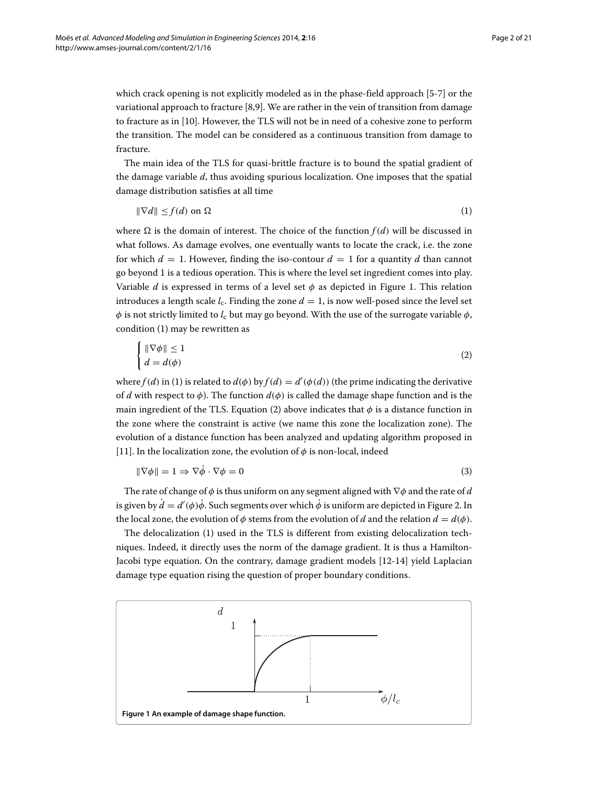which crack opening is not explicitly modeled as in the phase-field approach [\[5-](#page-19-4)[7\]](#page-19-5) or the variational approach to fracture [\[8,](#page-19-6)[9\]](#page-19-7). We are rather in the vein of transition from damage to fracture as in [\[10\]](#page-19-8). However, the TLS will not be in need of a cohesive zone to perform the transition. The model can be considered as a continuous transition from damage to fracture.

The main idea of the TLS for quasi-brittle fracture is to bound the spatial gradient of the damage variable *d*, thus avoiding spurious localization. One imposes that the spatial damage distribution satisfies at all time

<span id="page-1-1"></span>
$$
\|\nabla d\| \le f(d) \text{ on } \Omega \tag{1}
$$

where  $\Omega$  is the domain of interest. The choice of the function  $f(d)$  will be discussed in what follows. As damage evolves, one eventually wants to locate the crack, i.e. the zone for which  $d = 1$ . However, finding the iso-contour  $d = 1$  for a quantity d than cannot go beyond 1 is a tedious operation. This is where the level set ingredient comes into play. Variable *d* is expressed in terms of a level set  $\phi$  as depicted in Figure [1.](#page-1-0) This relation introduces a length scale  $l_c$ . Finding the zone  $d = 1$ , is now well-posed since the level set  $\phi$  is not strictly limited to  $l_c$  but may go beyond. With the use of the surrogate variable  $\phi$ , condition [\(1\)](#page-1-1) may be rewritten as

<span id="page-1-2"></span>
$$
\begin{cases} \|\nabla \phi\| \le 1\\ d = d(\phi) \end{cases} \tag{2}
$$

where *f* (*d*) in [\(1\)](#page-1-1) is related to *d*( $\phi$ ) by *f* (*d*) = *d'* ( $\phi$ (*d*)) (the prime indicating the derivative of *d* with respect to  $\phi$ ). The function  $d(\phi)$  is called the damage shape function and is the main ingredient of the TLS. Equation [\(2\)](#page-1-2) above indicates that  $\phi$  is a distance function in the zone where the constraint is active (we name this zone the localization zone). The evolution of a distance function has been analyzed and updating algorithm proposed in [\[11\]](#page-20-0). In the localization zone, the evolution of  $\phi$  is non-local, indeed

<span id="page-1-3"></span>
$$
\|\nabla\phi\| = 1 \Rightarrow \nabla\dot{\phi} \cdot \nabla\phi = 0
$$
\n(3)

The rate of change of  $\phi$  is thus uniform on any segment aligned with  $\nabla \phi$  and the rate of *d* is given by  $d=d'(\phi)\phi$ . Such segments over which  $\phi$  is uniform are depicted in Figure [2.](#page-2-0) In the local zone, the evolution of  $\phi$  stems from the evolution of *d* and the relation  $d = d(\phi)$ .

The delocalization [\(1\)](#page-1-1) used in the TLS is different from existing delocalization techniques. Indeed, it directly uses the norm of the damage gradient. It is thus a Hamilton-Jacobi type equation. On the contrary, damage gradient models [\[12-](#page-20-1)[14\]](#page-20-2) yield Laplacian damage type equation rising the question of proper boundary conditions.

<span id="page-1-0"></span>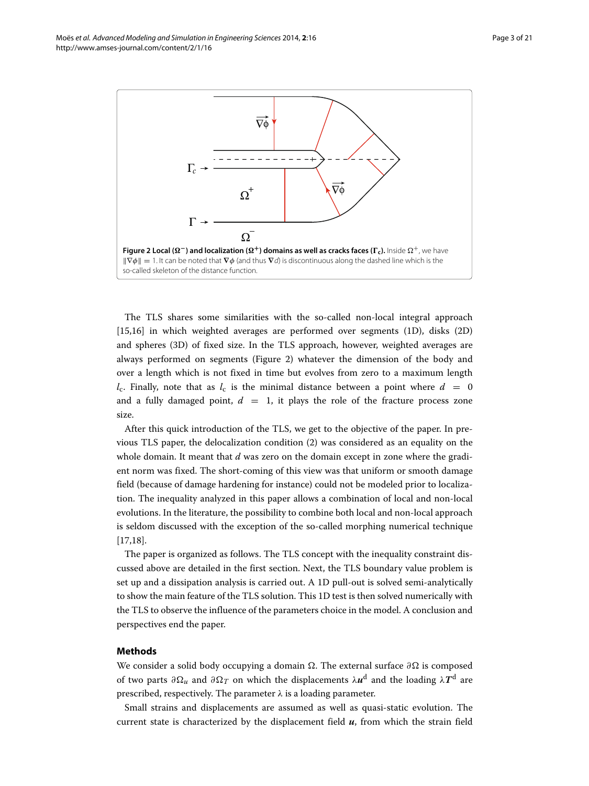

<span id="page-2-0"></span>The TLS shares some similarities with the so-called non-local integral approach [\[15](#page-20-3)[,16\]](#page-20-4) in which weighted averages are performed over segments (1D), disks (2D) and spheres (3D) of fixed size. In the TLS approach, however, weighted averages are always performed on segments (Figure [2\)](#page-2-0) whatever the dimension of the body and over a length which is not fixed in time but evolves from zero to a maximum length *l<sub>c</sub>*. Finally, note that as  $l_c$  is the minimal distance between a point where  $d = 0$ and a fully damaged point,  $d = 1$ , it plays the role of the fracture process zone size.

After this quick introduction of the TLS, we get to the objective of the paper. In previous TLS paper, the delocalization condition [\(2\)](#page-1-2) was considered as an equality on the whole domain. It meant that *d* was zero on the domain except in zone where the gradient norm was fixed. The short-coming of this view was that uniform or smooth damage field (because of damage hardening for instance) could not be modeled prior to localization. The inequality analyzed in this paper allows a combination of local and non-local evolutions. In the literature, the possibility to combine both local and non-local approach is seldom discussed with the exception of the so-called morphing numerical technique [\[17](#page-20-5)[,18\]](#page-20-6).

The paper is organized as follows. The TLS concept with the inequality constraint discussed above are detailed in the first section. Next, the TLS boundary value problem is set up and a dissipation analysis is carried out. A 1D pull-out is solved semi-analytically to show the main feature of the TLS solution. This 1D test is then solved numerically with the TLS to observe the influence of the parameters choice in the model. A conclusion and perspectives end the paper.

#### **Methods**

We consider a solid body occupying a domain  $\Omega.$  The external surface  $\partial \Omega$  is composed of two parts  $\partial \Omega_u$  and  $\partial \Omega_T$  on which the displacements  $\lambda u^{\rm d}$  and the loading  $\lambda T^{\rm d}$  are prescribed, respectively. The parameter  $\lambda$  is a loading parameter.

Small strains and displacements are assumed as well as quasi-static evolution. The current state is characterized by the displacement field *u*, from which the strain field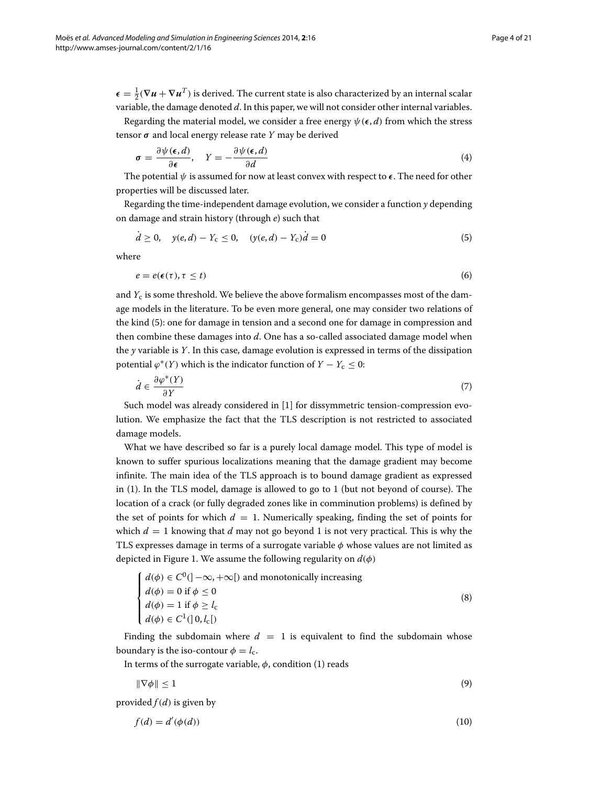$\epsilon = \frac{1}{2}(\nabla u + \nabla u^T)$  is derived. The current state is also characterized by an internal scalar variable, the damage denoted *d*. In this paper, we will not consider other internal variables.

Regarding the material model, we consider a free energy  $\psi(\epsilon, d)$  from which the stress tensor *σ* and local energy release rate *Y* may be derived

<span id="page-3-2"></span>
$$
\sigma = \frac{\partial \psi(\epsilon, d)}{\partial \epsilon}, \quad Y = -\frac{\partial \psi(\epsilon, d)}{\partial d} \tag{4}
$$

The potential  $\psi$  is assumed for now at least convex with respect to  $\epsilon$ . The need for other properties will be discussed later.

Regarding the time-independent damage evolution, we consider a function *y* depending on damage and strain history (through *e*) such that

<span id="page-3-0"></span>
$$
\dot{d} \ge 0, \quad y(e, d) - Y_c \le 0, \quad (y(e, d) - Y_c)\dot{d} = 0 \tag{5}
$$

where

$$
e = e(\epsilon(\tau), \tau \le t) \tag{6}
$$

and  $Y_c$  is some threshold. We believe the above formalism encompasses most of the damage models in the literature. To be even more general, one may consider two relations of the kind [\(5\)](#page-3-0): one for damage in tension and a second one for damage in compression and then combine these damages into *d*. One has a so-called associated damage model when the *y* variable is *Y*. In this case, damage evolution is expressed in terms of the dissipation potential  $\varphi^*(Y)$  which is the indicator function of  $Y - Y_c \leq 0$ :

$$
\dot{d} \in \frac{\partial \varphi^*(Y)}{\partial Y} \tag{7}
$$

Such model was already considered in [\[1\]](#page-19-0) for dissymmetric tension-compression evolution. We emphasize the fact that the TLS description is not restricted to associated damage models.

What we have described so far is a purely local damage model. This type of model is known to suffer spurious localizations meaning that the damage gradient may become infinite. The main idea of the TLS approach is to bound damage gradient as expressed in [\(1\)](#page-1-1). In the TLS model, damage is allowed to go to 1 (but not beyond of course). The location of a crack (or fully degraded zones like in comminution problems) is defined by the set of points for which  $d = 1$ . Numerically speaking, finding the set of points for which  $d = 1$  knowing that *d* may not go beyond 1 is not very practical. This is why the TLS expresses damage in terms of a surrogate variable  $\phi$  whose values are not limited as depicted in Figure [1.](#page-1-0) We assume the following regularity on  $d(\phi)$ 

$$
\begin{cases}\nd(\phi) \in C^0( ]-\infty, +\infty[)\text{ and monotonically increasing} \\
d(\phi) = 0 \text{ if } \phi \le 0 \\
d(\phi) = 1 \text{ if } \phi \ge l_c \\
d(\phi) \in C^1( ]0, l_c[)\n\end{cases}
$$
\n(8)

Finding the subdomain where  $d = 1$  is equivalent to find the subdomain whose boundary is the iso-contour  $\phi = l_c$ .

In terms of the surrogate variable,  $\phi$ , condition [\(1\)](#page-1-1) reads

<span id="page-3-1"></span>
$$
\|\nabla\phi\| \le 1\tag{9}
$$

provided  $f(d)$  is given by

$$
f(d) = d'(\phi(d))
$$
\n<sup>(10)</sup>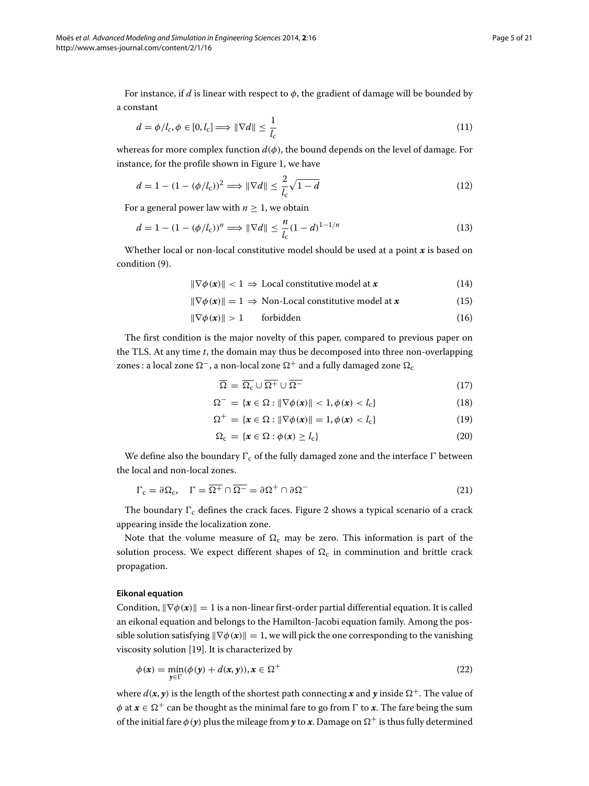For instance, if *d* is linear with respect to  $\phi$ , the gradient of damage will be bounded by a constant

$$
d = \phi / l_c, \phi \in [0, l_c] \Longrightarrow \|\nabla d\| \le \frac{1}{l_c} \tag{11}
$$

whereas for more complex function  $d(\phi)$ , the bound depends on the level of damage. For instance, for the profile shown in Figure [1,](#page-1-0) we have

$$
d = 1 - (1 - (\phi/l_c))^2 \Longrightarrow \|\nabla d\| \le \frac{2}{l_c} \sqrt{1 - d} \tag{12}
$$

For a general power law with  $n > 1$ , we obtain

$$
d = 1 - (1 - (\phi/l_c))^n \Longrightarrow \|\nabla d\| \le \frac{n}{l_c} (1 - d)^{1 - 1/n}
$$
\n(13)

Whether local or non-local constitutive model should be used at a point *x* is based on condition [\(9\)](#page-3-1).

<span id="page-4-0"></span>
$$
\|\nabla\phi(x)\| < 1 \Rightarrow \text{Local constitutive model at } x \tag{14}
$$

 $\|\nabla \phi(\boldsymbol{x})\| = 1 \Rightarrow$  Non-Local constitutive model at *x* (15)

$$
\|\nabla\phi(x)\| > 1 \qquad \text{forbidden} \tag{16}
$$

The first condition is the major novelty of this paper, compared to previous paper on the TLS. At any time *t*, the domain may thus be decomposed into three non-overlapping zones : a local zone  $\Omega^-$ , a non-local zone  $\Omega^+$  and a fully damaged zone  $\Omega_{\rm c}$ 

$$
\overline{\Omega} = \overline{\Omega_{\rm c}} \cup \overline{\Omega^{+}} \cup \overline{\Omega^{-}}
$$
\n(17)

$$
\Omega^{-} = \{ \boldsymbol{x} \in \Omega : \|\nabla \phi(\boldsymbol{x})\| < 1, \phi(\boldsymbol{x}) < l_{\mathrm{c}} \} \tag{18}
$$

$$
\Omega^+ = \{ \mathbf{x} \in \Omega : \|\nabla \phi(\mathbf{x})\| = 1, \phi(\mathbf{x}) < l_c \} \tag{19}
$$

$$
\Omega_{\rm c} = \{x \in \Omega : \phi(x) \ge l_{\rm c}\}\tag{20}
$$

We define also the boundary  $\Gamma_c$  of the fully damaged zone and the interface  $\Gamma$  between the local and non-local zones.

$$
\Gamma_{\rm c} = \partial \Omega_{\rm c}, \quad \Gamma = \overline{\Omega^+} \cap \overline{\Omega^-} = \partial \Omega^+ \cap \partial \Omega^- \tag{21}
$$

The boundary  $\Gamma_c$  defines the crack faces. Figure [2](#page-2-0) shows a typical scenario of a crack appearing inside the localization zone.

Note that the volume measure of  $\Omega_{\rm c}$  may be zero. This information is part of the solution process. We expect different shapes of  $\Omega_\mathrm{c}$  in comminution and brittle crack propagation.

#### **Eikonal equation**

Condition,  $\|\nabla \phi(\mathbf{x})\| = 1$  is a non-linear first-order partial differential equation. It is called an eikonal equation and belongs to the Hamilton-Jacobi equation family. Among the possible solution satisfying  $\|\nabla \phi(\mathbf{x})\| = 1$ , we will pick the one corresponding to the vanishing viscosity solution [\[19\]](#page-20-7). It is characterized by

$$
\phi(x) = \min_{y \in \Gamma} (\phi(y) + d(x, y)), x \in \Omega^+ \tag{22}
$$

where  $d(\pmb{x},\pmb{y})$  is the length of the shortest path connecting  $\pmb{x}$  and  $\pmb{y}$  inside  $\Omega^+$ . The value of  $\phi$  at  $x \in \Omega^+$  can be thought as the minimal fare to go from  $\Gamma$  to  $x$ . The fare being the sum of the initial fare  $\phi(y)$  plus the mileage from  $y$  to  $x$ . Damage on  $\Omega^+$  is thus fully determined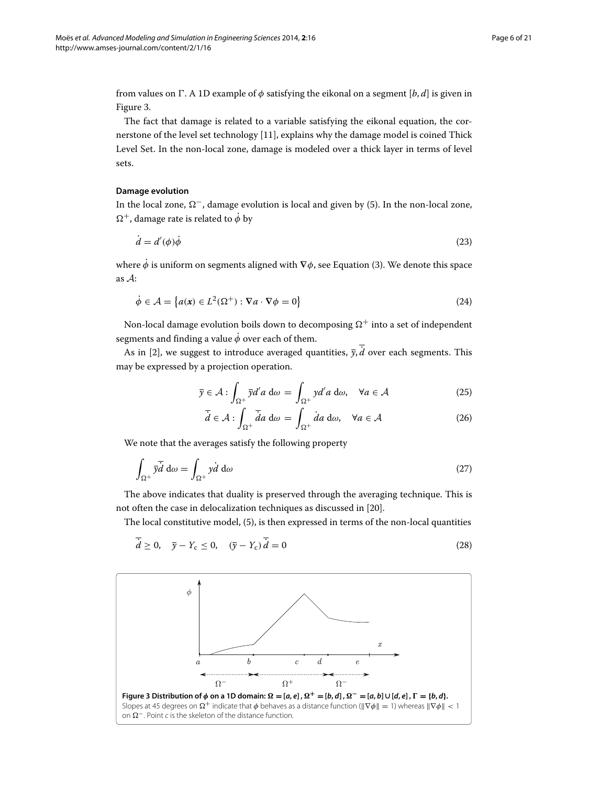from values on  $\Gamma$ . A 1D example of  $\phi$  satisfying the eikonal on a segment  $[b, d]$  is given in Figure [3.](#page-5-0)

The fact that damage is related to a variable satisfying the eikonal equation, the cornerstone of the level set technology [\[11\]](#page-20-0), explains why the damage model is coined Thick Level Set. In the non-local zone, damage is modeled over a thick layer in terms of level sets.

#### **Damage evolution**

In the local zone,  $\Omega^-$ , damage evolution is local and given by [\(5\)](#page-3-0). In the non-local zone,  $\Omega^+$ , damage rate is related to  $\phi$  by

$$
\dot{d} = d'(\phi)\dot{\phi} \tag{23}
$$

where  $\dot{\phi}$  is uniform on segments aligned with  $\nabla \phi$ , see Equation [\(3\)](#page-1-3). We denote this space as A:

$$
\dot{\phi} \in \mathcal{A} = \left\{ a(\mathbf{x}) \in L^2(\Omega^+) : \nabla a \cdot \nabla \phi = 0 \right\}
$$
\n(24)

Non-local damage evolution boils down to decomposing  $\Omega^+$  into a set of independent segments and finding a value  $\dot{\phi}$  over each of them.

As in [\[2\]](#page-19-1), we suggest to introduce averaged quantities,  $\vec{y}$ ,  $\dot{d}$  over each segments. This may be expressed by a projection operation.

<span id="page-5-1"></span>
$$
\overline{y} \in \mathcal{A} : \int_{\Omega^+} \overline{y} d' a \, d\omega = \int_{\Omega^+} y d' a \, d\omega, \quad \forall a \in \mathcal{A}
$$
 (25)

<span id="page-5-2"></span>
$$
\overline{\dot{d}} \in \mathcal{A} : \int_{\Omega^+} \overline{\dot{d}}a \, d\omega = \int_{\Omega^+} \dot{d}a \, d\omega, \quad \forall a \in \mathcal{A}
$$
 (26)

We note that the averages satisfy the following property

$$
\int_{\Omega^+} \overline{y} \overline{d} \, d\omega = \int_{\Omega^+} y \overline{d} \, d\omega \tag{27}
$$

The above indicates that duality is preserved through the averaging technique. This is not often the case in delocalization techniques as discussed in [\[20\]](#page-20-8).

The local constitutive model, [\(5\)](#page-3-0), is then expressed in terms of the non-local quantities

$$
\overline{\dot{d}} \ge 0, \quad \overline{y} - Y_c \le 0, \quad (\overline{y} - Y_c) \overline{\dot{d}} = 0 \tag{28}
$$

<span id="page-5-0"></span>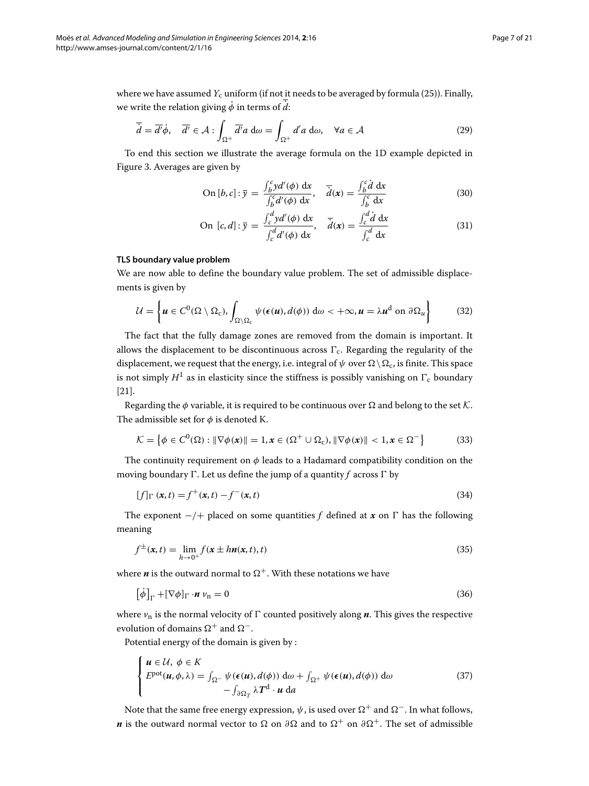where we have assumed  $Y_c$  uniform (if not it needs to be averaged by formula [\(25\)](#page-5-1)). Finally, we write the relation giving  $\dot{\phi}$  in terms of  $\dot{d}$ :

$$
\overline{\dot{d}} = \overline{d'}\dot{\phi}, \quad \overline{d'} \in \mathcal{A} : \int_{\Omega^+} \overline{d'}a \, d\omega = \int_{\Omega^+} d'a \, d\omega, \quad \forall a \in \mathcal{A}
$$
 (29)

To end this section we illustrate the average formula on the 1D example depicted in Figure [3.](#page-5-0) Averages are given by

On 
$$
[b, c] : \overline{y} = \frac{\int_b^c y d'(\phi) dx}{\int_b^c d'(\phi) dx}, \quad \overline{d}(x) = \frac{\int_b^c \overline{d} dx}{\int_b^c dx}
$$
 (30)

On 
$$
[c,d]: \overline{y} = \frac{\int_c^d y d'(\phi) dx}{\int_c^d d'(\phi) dx}
$$
,  $\overline{d}(x) = \frac{\int_c^d d dx}{\int_c^d dx}$  (31)

#### **TLS boundary value problem**

We are now able to define the boundary value problem. The set of admissible displacements is given by

$$
\mathcal{U} = \left\{ \boldsymbol{u} \in C^0(\Omega \setminus \Omega_c), \int_{\Omega \setminus \Omega_c} \psi(\boldsymbol{\epsilon}(\boldsymbol{u}), d(\phi)) \, \mathrm{d}\omega < +\infty, \boldsymbol{u} = \lambda \boldsymbol{u}^{\mathrm{d}} \text{ on } \partial \Omega_u \right\} \tag{32}
$$

The fact that the fully damage zones are removed from the domain is important. It allows the displacement to be discontinuous across  $\Gamma_c$ . Regarding the regularity of the displacement, we request that the energy, i.e. integral of  $\psi$  over  $\Omega \setminus \Omega_{\rm c}$ , is finite. This space is not simply  $H^1$  as in elasticity since the stiffness is possibly vanishing on  $\Gamma_c$  boundary [\[21\]](#page-20-9).

Regarding the  $\phi$  variable, it is required to be continuous over  $\Omega$  and belong to the set  $\mathcal{K}.$ The admissible set for  $\phi$  is denoted K.

$$
\mathcal{K} = \left\{ \phi \in C^0(\Omega) : \|\nabla \phi(x)\| = 1, x \in (\Omega^+ \cup \Omega_c), \|\nabla \phi(x)\| < 1, x \in \Omega^- \right\} \tag{33}
$$

The continuity requirement on  $\phi$  leads to a Hadamard compatibility condition on the moving boundary  $\Gamma$ . Let us define the jump of a quantity f across  $\Gamma$  by

$$
[f]_{\Gamma}(x,t) = f^{+}(x,t) - f^{-}(x,t)
$$
\n(34)

The exponent  $-$ /+ placed on some quantities *f* defined at *x* on  $\Gamma$  has the following meaning

$$
f^{\pm}(x,t) = \lim_{h \to 0^+} f(x \pm h n(x,t), t)
$$
\n(35)

where  $\pmb{n}$  is the outward normal to  $\Omega^+$ . With these notations we have

$$
\left[\dot{\phi}\right]_{\Gamma} + \left[\nabla\phi\right]_{\Gamma} \cdot \mathbf{n} \, \nu_{\mathbf{n}} = 0 \tag{36}
$$

where  $v_n$  is the normal velocity of  $\Gamma$  counted positively along *n*. This gives the respective evolution of domains  $\Omega^+$  and  $\Omega^-$ .

Potential energy of the domain is given by :

$$
\begin{cases}\n\boldsymbol{u} \in \mathcal{U}, \ \phi \in K \\
E^{\text{pot}}(\boldsymbol{u}, \phi, \lambda) = \int_{\Omega^{-}} \psi(\boldsymbol{\epsilon}(\boldsymbol{u}), d(\phi)) \ d\omega + \int_{\Omega^{+}} \psi(\boldsymbol{\epsilon}(\boldsymbol{u}), d(\phi)) \ d\omega \\
-\int_{\partial \Omega_{T}} \lambda T^{\mathbf{d}} \cdot \boldsymbol{u} \ da\n\end{cases}
$$
\n(37)

Note that the same free energy expression,  $\psi$  , is used over  $\Omega^+$  and  $\Omega^-$  . In what follows,  $\bm{n}$  is the outward normal vector to Ω on ∂Ω and to Ω $^+$  on ∂Ω $^+$ . The set of admissible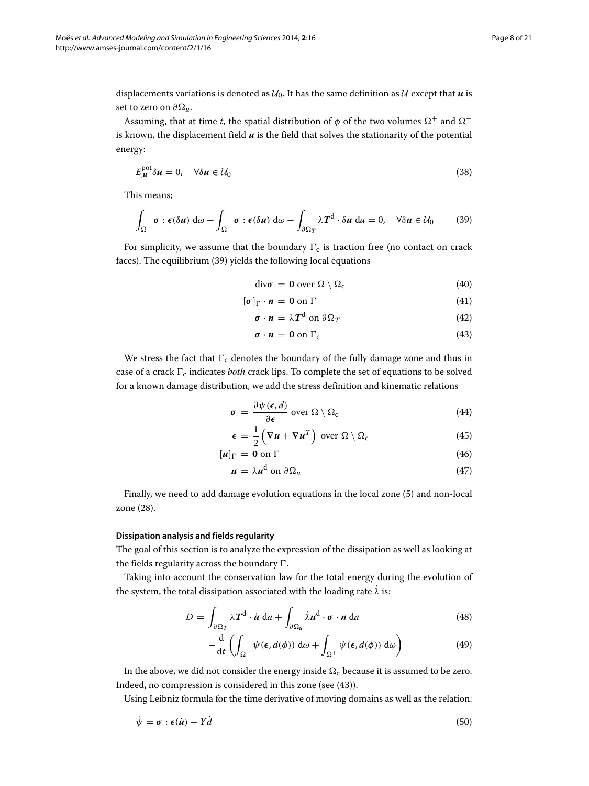displacements variations is denoted as  $U_0$ . It has the same definition as  $U$  except that  $u$  is set to zero on  $\partial\Omega_u$ .

Assuming, that at time  $t$ , the spatial distribution of  $\phi$  of the two volumes  $\Omega^+$  and  $\Omega^$ is known, the displacement field  $\boldsymbol{u}$  is the field that solves the stationarity of the potential energy:

<span id="page-7-0"></span>
$$
E_{,\boldsymbol{\mu}}^{\text{pot}}\delta\boldsymbol{\mu}=0,\quad\forall\delta\boldsymbol{\mu}\in\mathcal{U}_0
$$
\n(38)

This means;

$$
\int_{\Omega^-} \sigma : \epsilon(\delta u) \, d\omega + \int_{\Omega^+} \sigma : \epsilon(\delta u) \, d\omega - \int_{\partial \Omega_T} \lambda T^d \cdot \delta u \, da = 0, \quad \forall \delta u \in \mathcal{U}_0 \tag{39}
$$

For simplicity, we assume that the boundary  $\Gamma_c$  is traction free (no contact on crack faces). The equilibrium [\(39\)](#page-7-0) yields the following local equations

<span id="page-7-1"></span>
$$
div\sigma = 0 \text{ over } \Omega \setminus \Omega_c \tag{40}
$$

$$
[\sigma]_{\Gamma} \cdot n = 0 \text{ on } \Gamma \tag{41}
$$

$$
\sigma \cdot n = \lambda T^d \text{ on } \partial \Omega_T \tag{42}
$$

$$
\boldsymbol{\sigma} \cdot \boldsymbol{n} = \mathbf{0} \text{ on } \Gamma_{\text{c}} \tag{43}
$$

We stress the fact that  $\Gamma_c$  denotes the boundary of the fully damage zone and thus in case of a crack  $\Gamma_c$  indicates *both* crack lips. To complete the set of equations to be solved for a known damage distribution, we add the stress definition and kinematic relations

$$
\sigma = \frac{\partial \psi(\epsilon, d)}{\partial \epsilon} \text{ over } \Omega \setminus \Omega_{\text{c}} \tag{44}
$$

$$
\epsilon = \frac{1}{2} \left( \nabla u + \nabla u^T \right) \text{ over } \Omega \setminus \Omega_c \tag{45}
$$

$$
[u]_{\Gamma} = 0 \text{ on } \Gamma \tag{46}
$$

$$
u = \lambda u^{\rm d} \text{ on } \partial \Omega_u \tag{47}
$$

Finally, we need to add damage evolution equations in the local zone [\(5\)](#page-3-0) and non-local zone [\(28\)](#page-5-2).

#### **Dissipation analysis and fields regularity**

The goal of this section is to analyze the expression of the dissipation as well as looking at the fields regularity across the boundary  $\Gamma$ .

Taking into account the conservation law for the total energy during the evolution of the system, the total dissipation associated with the loading rate  $\dot{\lambda}$  is:

$$
D = \int_{\partial \Omega_T} \lambda T^{\rm d} \cdot \dot{\boldsymbol{\mu}} \, \mathrm{d}a + \int_{\partial \Omega_u} \dot{\lambda} \boldsymbol{\mu}^{\rm d} \cdot \boldsymbol{\sigma} \cdot \boldsymbol{n} \, \mathrm{d}a \tag{48}
$$

$$
-\frac{d}{dt}\left(\int_{\Omega^-}\psi(\epsilon,d(\phi))\,d\omega+\int_{\Omega^+}\psi(\epsilon,d(\phi))\,d\omega\right) \tag{49}
$$

In the above, we did not consider the energy inside  $\Omega_\mathrm{c}$  because it is assumed to be zero. Indeed, no compression is considered in this zone (see [\(43\)](#page-7-1)).

Using Leibniz formula for the time derivative of moving domains as well as the relation:

$$
\dot{\psi} = \sigma : \epsilon(\dot{u}) - Yd \tag{50}
$$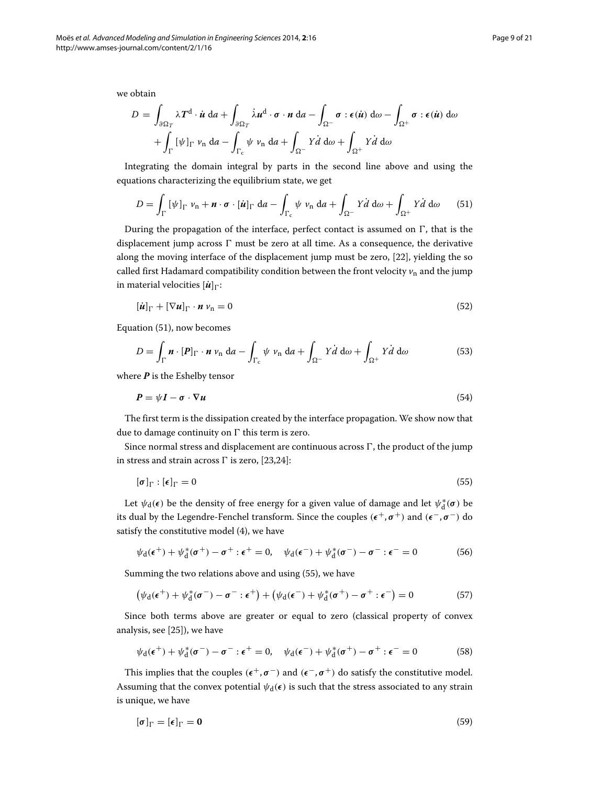we obtain

$$
D = \int_{\partial \Omega_T} \lambda T^{\rm d} \cdot \dot{\boldsymbol{u}} \, d\boldsymbol{a} + \int_{\partial \Omega_T} \dot{\lambda} \boldsymbol{u}^{\rm d} \cdot \boldsymbol{\sigma} \cdot \boldsymbol{n} \, d\boldsymbol{a} - \int_{\Omega^-} \boldsymbol{\sigma} : \boldsymbol{\epsilon}(\dot{\boldsymbol{u}}) \, d\omega - \int_{\Omega^+} \boldsymbol{\sigma} : \boldsymbol{\epsilon}(\dot{\boldsymbol{u}}) \, d\omega
$$

$$
+ \int_{\Gamma} [\psi]_{\Gamma} \, v_{\rm n} \, d\boldsymbol{a} - \int_{\Gamma_{\rm c}} \psi \, v_{\rm n} \, d\boldsymbol{a} + \int_{\Omega^-} Y \dot{\boldsymbol{d}} \, d\omega + \int_{\Omega^+} Y \dot{\boldsymbol{d}} \, d\omega
$$

Integrating the domain integral by parts in the second line above and using the equations characterizing the equilibrium state, we get

<span id="page-8-0"></span>
$$
D = \int_{\Gamma} [\psi]_{\Gamma} \nu_n + \mathbf{n} \cdot \boldsymbol{\sigma} \cdot [\boldsymbol{\dot{u}}]_{\Gamma} d\boldsymbol{a} - \int_{\Gamma_{\rm c}} \psi \nu_n d\boldsymbol{a} + \int_{\Omega^{-}} Y \dot{\boldsymbol{d}} d\omega + \int_{\Omega^{+}} Y \dot{\boldsymbol{d}} d\omega \qquad (51)
$$

During the propagation of the interface, perfect contact is assumed on  $\Gamma$ , that is the displacement jump across  $\Gamma$  must be zero at all time. As a consequence, the derivative along the moving interface of the displacement jump must be zero, [\[22\]](#page-20-10), yielding the so called first Hadamard compatibility condition between the front velocity  $v_n$  and the jump in material velocities  $[\dot{u}]_{\Gamma}$ :

$$
[\dot{u}]_{\Gamma} + [\nabla u]_{\Gamma} \cdot n \, v_{\rm n} = 0 \tag{52}
$$

Equation [\(51\)](#page-8-0), now becomes

$$
D = \int_{\Gamma} \boldsymbol{n} \cdot [\boldsymbol{P}]_{\Gamma} \cdot \boldsymbol{n} \, v_{\text{n}} \, \mathrm{d}a - \int_{\Gamma_{\text{c}}} \psi \, v_{\text{n}} \, \mathrm{d}a + \int_{\Omega^{-}} Y \dot{d} \, \mathrm{d}\omega + \int_{\Omega^{+}} Y \dot{d} \, \mathrm{d}\omega \tag{53}
$$

where *P* is the Eshelby tensor

$$
P = \psi I - \sigma \cdot \nabla u \tag{54}
$$

The first term is the dissipation created by the interface propagation. We show now that due to damage continuity on  $\Gamma$  this term is zero.

Since normal stress and displacement are continuous across  $\Gamma$ , the product of the jump in stress and strain across  $\Gamma$  is zero, [\[23,](#page-20-11)[24\]](#page-20-12):

<span id="page-8-1"></span>
$$
[\sigma]_{\Gamma} : [\epsilon]_{\Gamma} = 0 \tag{55}
$$

Let  $\psi_{\rm d}(\epsilon)$  be the density of free energy for a given value of damage and let  $\psi_{\rm d}^*(\sigma)$  be its dual by the Legendre-Fenchel transform. Since the couples  $(\epsilon^+,\sigma^+)$  and  $(\epsilon^-,\sigma^-)$  do satisfy the constitutive model [\(4\)](#page-3-2), we have

$$
\psi_{\mathrm{d}}(\epsilon^{+}) + \psi_{\mathrm{d}}^{*}(\sigma^{+}) - \sigma^{+} : \epsilon^{+} = 0, \quad \psi_{\mathrm{d}}(\epsilon^{-}) + \psi_{\mathrm{d}}^{*}(\sigma^{-}) - \sigma^{-} : \epsilon^{-} = 0 \tag{56}
$$

Summing the two relations above and using [\(55\)](#page-8-1), we have

$$
\left(\psi_{\mathbf{d}}(\epsilon^{+})+\psi_{\mathbf{d}}^{*}(\sigma^{-})-\sigma^{-}:\epsilon^{+}\right)+\left(\psi_{\mathbf{d}}(\epsilon^{-})+\psi_{\mathbf{d}}^{*}(\sigma^{+})-\sigma^{+}:\epsilon^{-}\right)=0\tag{57}
$$

Since both terms above are greater or equal to zero (classical property of convex analysis, see [\[25\]](#page-20-13)), we have

$$
\psi_{\mathbf{d}}(\boldsymbol{\epsilon}^{+}) + \psi_{\mathbf{d}}^{*}(\boldsymbol{\sigma}^{-}) - \boldsymbol{\sigma}^{-} : \boldsymbol{\epsilon}^{+} = 0, \quad \psi_{\mathbf{d}}(\boldsymbol{\epsilon}^{-}) + \psi_{\mathbf{d}}^{*}(\boldsymbol{\sigma}^{+}) - \boldsymbol{\sigma}^{+} : \boldsymbol{\epsilon}^{-} = 0 \tag{58}
$$

This implies that the couples ( $\epsilon^+$ ,  $\sigma^-$ ) and ( $\epsilon^-$ ,  $\sigma^+$ ) do satisfy the constitutive model. Assuming that the convex potential  $\psi_d(\epsilon)$  is such that the stress associated to any strain is unique, we have

$$
[\sigma]_{\Gamma} = [\epsilon]_{\Gamma} = \mathbf{0} \tag{59}
$$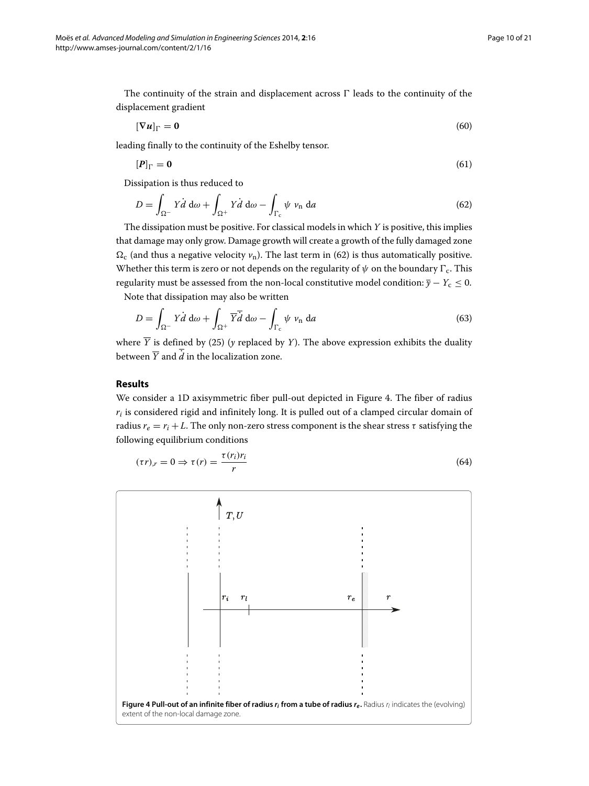The continuity of the strain and displacement across  $\Gamma$  leads to the continuity of the displacement gradient

$$
[\nabla u]_{\Gamma} = 0 \tag{60}
$$

leading finally to the continuity of the Eshelby tensor.

<span id="page-9-0"></span>
$$
[P]_{\Gamma} = 0 \tag{61}
$$

Dissipation is thus reduced to

$$
D = \int_{\Omega^-} Y \dot{d} \, d\omega + \int_{\Omega^+} Y \dot{d} \, d\omega - \int_{\Gamma_c} \psi \, \nu_n \, da \tag{62}
$$

The dissipation must be positive. For classical models in which *Y* is positive, this implies that damage may only grow. Damage growth will create a growth of the fully damaged zone  $\Omega_{\rm c}$  (and thus a negative velocity  $v_{\rm n}$ ). The last term in [\(62\)](#page-9-0) is thus automatically positive. Whether this term is zero or not depends on the regularity of  $\psi$  on the boundary  $\Gamma_c$ . This regularity must be assessed from the non-local constitutive model condition:  $\bar{y} - Y_c \le 0$ .

Note that dissipation may also be written

$$
D = \int_{\Omega^-} Y \dot{d} \, d\omega + \int_{\Omega^+} \overline{Y} \dot{\overline{d}} \, d\omega - \int_{\Gamma_c} \psi \, \nu_n \, da \tag{63}
$$

where  $\overline{Y}$  is defined by [\(25\)](#page-5-1) (*y* replaced by *Y*). The above expression exhibits the duality between  $\overline{Y}$  and  $\overline{d}$  in the localization zone.

### **Results**

We consider a 1D axisymmetric fiber pull-out depicted in Figure [4.](#page-9-1) The fiber of radius *ri* is considered rigid and infinitely long. It is pulled out of a clamped circular domain of radius  $r_e = r_i + L$ . The only non-zero stress component is the shear stress  $\tau$  satisfying the following equilibrium conditions

<span id="page-9-2"></span>
$$
(\tau r)_{,r} = 0 \Rightarrow \tau(r) = \frac{\tau(r_i)r_i}{r}
$$
\n(64)

<span id="page-9-1"></span>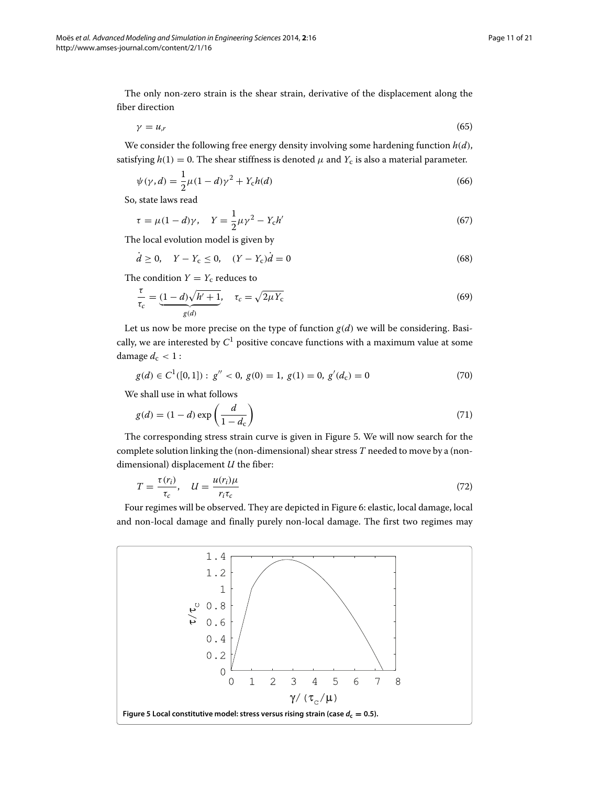The only non-zero strain is the shear strain, derivative of the displacement along the fiber direction

$$
\gamma = u_{,r} \tag{65}
$$

We consider the following free energy density involving some hardening function *h*(*d*), satisfying  $h(1) = 0$ . The shear stiffness is denoted  $\mu$  and  $Y_c$  is also a material parameter.

$$
\psi(\gamma, d) = \frac{1}{2}\mu(1 - d)\gamma^2 + Y_c h(d)
$$
\n(66)

So, state laws read

$$
\tau = \mu(1 - d)\gamma, \quad Y = \frac{1}{2}\mu\gamma^2 - Y_c h'
$$
\n(67)

The local evolution model is given by

$$
\dot{d} \ge 0, \quad Y - Y_c \le 0, \quad (Y - Y_c)\dot{d} = 0 \tag{68}
$$

The condition  $Y = Y_c$  reduces to

<span id="page-10-1"></span>
$$
\frac{\tau}{\tau_c} = \underbrace{(1-d)\sqrt{h'+1}}_{g(d)}, \quad \tau_c = \sqrt{2\mu Y_c}
$$
\n(69)

Let us now be more precise on the type of function  $g(d)$  we will be considering. Basically, we are interested by  $C^1$  positive concave functions with a maximum value at some damage  $d_c < 1$ :

<span id="page-10-3"></span>
$$
g(d) \in C^{1}([0,1]) : g'' < 0, g(0) = 1, g(1) = 0, g'(d_{c}) = 0
$$
\n(70)

We shall use in what follows

<span id="page-10-2"></span>
$$
g(d) = (1 - d) \exp\left(\frac{d}{1 - d_c}\right) \tag{71}
$$

The corresponding stress strain curve is given in Figure [5.](#page-10-0) We will now search for the complete solution linking the (non-dimensional) shear stress *T* needed to move by a (nondimensional) displacement *U* the fiber:

$$
T = \frac{\tau(r_i)}{\tau_c}, \quad U = \frac{u(r_i)\mu}{r_i \tau_c} \tag{72}
$$

Four regimes will be observed. They are depicted in Figure [6:](#page-11-0) elastic, local damage, local and non-local damage and finally purely non-local damage. The first two regimes may

<span id="page-10-0"></span>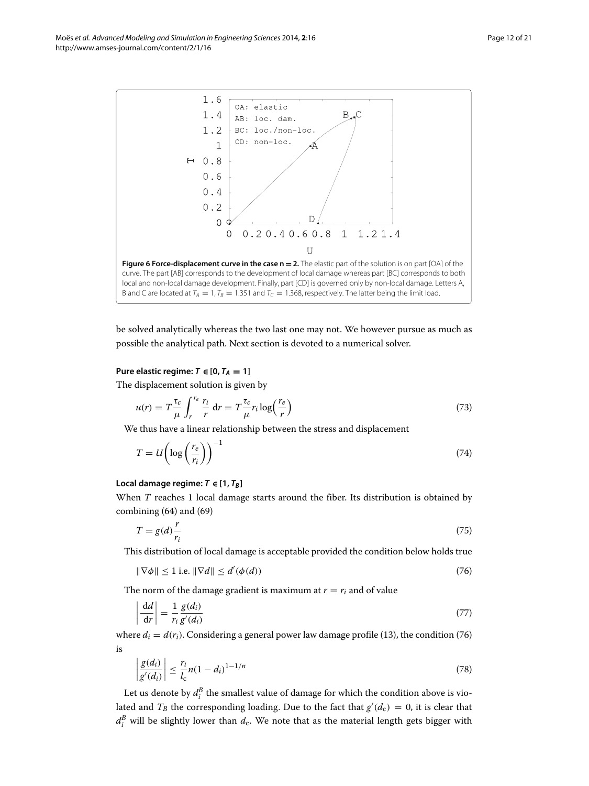Moës et al. Advanced Modeling and Simulation in Engineering Sciences 2014, 2:16 Page 12 of 21 Page 12 of 21 http://www.amses-journal.com/content/2/1/16



<span id="page-11-0"></span>be solved analytically whereas the two last one may not. We however pursue as much as possible the analytical path. Next section is devoted to a numerical solver.

#### Pure elastic regime:  $T \in [0, T_A = 1]$

The displacement solution is given by

$$
u(r) = T \frac{\tau_c}{\mu} \int_r^{r_e} \frac{r_i}{r} dr = T \frac{\tau_c}{\mu} r_i \log\left(\frac{r_e}{r}\right)
$$
\n(73)

We thus have a linear relationship between the stress and displacement

$$
T = U\left(\log\left(\frac{r_e}{r_i}\right)\right)^{-1} \tag{74}
$$

#### Local damage regime:  $T \in [1, T_B]$

When *T* reaches 1 local damage starts around the fiber. Its distribution is obtained by combining [\(64\)](#page-9-2) and [\(69\)](#page-10-1)

<span id="page-11-1"></span>
$$
T = g(d)\frac{r}{r_i} \tag{75}
$$

This distribution of local damage is acceptable provided the condition below holds true

$$
\|\nabla \phi\| \le 1 \text{ i.e. } \|\nabla d\| \le d'(\phi(d)) \tag{76}
$$

The norm of the damage gradient is maximum at  $r = r_i$  and of value

$$
\left| \frac{\mathrm{d}d}{\mathrm{d}r} \right| = \frac{1}{r_i} \frac{g(d_i)}{g'(d_i)} \tag{77}
$$

<span id="page-11-2"></span>where  $d_i = d(r_i)$ . Considering a general power law damage profile [\(13\)](#page-4-0), the condition [\(76\)](#page-11-1) is

$$
\left|\frac{g(d_i)}{g'(d_i)}\right| \le \frac{r_i}{l_c} n(1-d_i)^{1-1/n} \tag{78}
$$

Let us denote by  $d_i^B$  the smallest value of damage for which the condition above is violated and  $T_B$  the corresponding loading. Due to the fact that  $g'(d_c) = 0$ , it is clear that  $d_i^B$  will be slightly lower than  $d_c$ . We note that as the material length gets bigger with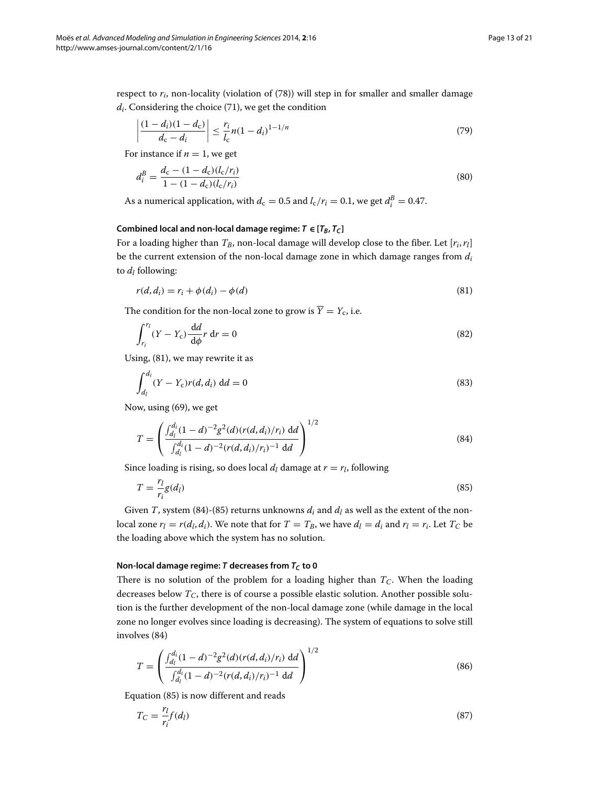respect to *ri*, non-locality (violation of [\(78\)](#page-11-2)) will step in for smaller and smaller damage *di*. Considering the choice [\(71\)](#page-10-2), we get the condition

$$
\left| \frac{(1 - d_i)(1 - d_c)}{d_c - d_i} \right| \le \frac{r_i}{l_c} n (1 - d_i)^{1 - 1/n} \tag{79}
$$

For instance if  $n = 1$ , we get

$$
d_i^B = \frac{d_c - (1 - d_c)(l_c/r_i)}{1 - (1 - d_c)(l_c/r_i)}
$$
\n(80)

As a numerical application, with  $d_c = 0.5$  and  $l_c/r_i = 0.1$ , we get  $d_i^B = 0.47$ .

#### Combined local and non-local damage regime:  $T \in [T_B, T_C]$

For a loading higher than  $T_B$ , non-local damage will develop close to the fiber. Let  $[r_i, r_l]$ be the current extension of the non-local damage zone in which damage ranges from *di* to *dl* following:

<span id="page-12-0"></span>
$$
r(d, d_i) = r_i + \phi(d_i) - \phi(d) \tag{81}
$$

The condition for the non-local zone to grow is  $\overline{Y} = Y_c$ , i.e.

$$
\int_{r_i}^{r_l} (Y - Y_c) \frac{\mathrm{d}d}{\mathrm{d}\phi} r \, \mathrm{d}r = 0 \tag{82}
$$

Using, [\(81\)](#page-12-0), we may rewrite it as

$$
\int_{d_l}^{d_l} (Y - Y_c) r(d, d_l) \, \mathrm{d}d = 0 \tag{83}
$$

Now, using [\(69\)](#page-10-1), we get

<span id="page-12-1"></span>
$$
T = \left(\frac{\int_{d_i}^{d_i} (1-d)^{-2} g^2(d) (r(d,d_i)/r_i) \, dd}{\int_{d_i}^{d_i} (1-d)^{-2} (r(d,d_i)/r_i)^{-1} \, dd}\right)^{1/2}
$$
\n(84)

Since loading is rising, so does local  $d_l$  damage at  $r = r_l$ , following

<span id="page-12-2"></span>
$$
T = \frac{r_l}{r_i} g(d_l) \tag{85}
$$

Given *T*, system [\(84\)](#page-12-1)-[\(85\)](#page-12-2) returns unknowns  $d_i$  and  $d_l$  as well as the extent of the nonlocal zone  $r_l = r(d_l, d_i)$ . We note that for  $T = T_B$ , we have  $d_l = d_i$  and  $r_l = r_i$ . Let  $T_C$  be the loading above which the system has no solution.

#### Non-local damage regime:  $T$  decreases from  $T_c$  to 0

There is no solution of the problem for a loading higher than  $T_C$ . When the loading decreases below  $T_C$ , there is of course a possible elastic solution. Another possible solution is the further development of the non-local damage zone (while damage in the local zone no longer evolves since loading is decreasing). The system of equations to solve still involves [\(84\)](#page-12-1)

$$
T = \left(\frac{\int_{d_i}^{d_i} (1-d)^{-2} g^2(d) (r(d,d_i)/r_i) \, dd}{\int_{d_i}^{d_i} (1-d)^{-2} (r(d,d_i)/r_i)^{-1} \, dd}\right)^{1/2}
$$
\n(86)

Equation [\(85\)](#page-12-2) is now different and reads

$$
T_C = \frac{r_l}{r_i} f(d_l) \tag{87}
$$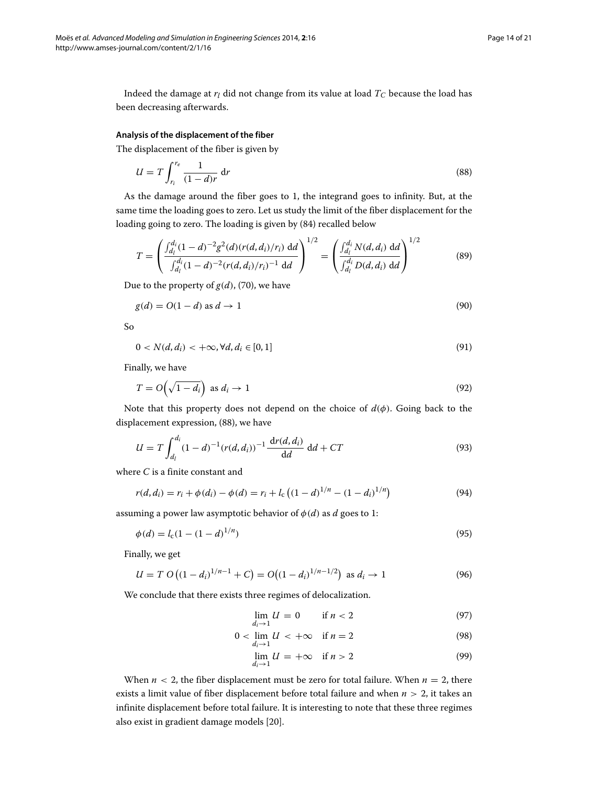Indeed the damage at  $r_l$  did not change from its value at load  $T_C$  because the load has been decreasing afterwards.

#### **Analysis of the displacement of the fiber**

The displacement of the fiber is given by

<span id="page-13-0"></span>
$$
U = T \int_{r_i}^{r_e} \frac{1}{(1-d)r} \, \mathrm{d}r \tag{88}
$$

As the damage around the fiber goes to 1, the integrand goes to infinity. But, at the same time the loading goes to zero. Let us study the limit of the fiber displacement for the loading going to zero. The loading is given by [\(84\)](#page-12-1) recalled below

$$
T = \left(\frac{\int_{d_i}^{d_i} (1-d)^{-2} g^2(d) (r(d,d_i)/r_i) \, dd}{\int_{d_i}^{d_i} (1-d)^{-2} (r(d,d_i)/r_i)^{-1} \, dd}\right)^{1/2} = \left(\frac{\int_{d_i}^{d_i} N(d,d_i) \, dd}{\int_{d_i}^{d_i} D(d,d_i) \, dd}\right)^{1/2} \tag{89}
$$

Due to the property of  $g(d)$ , [\(70\)](#page-10-3), we have

$$
g(d) = O(1 - d) \text{ as } d \to 1 \tag{90}
$$

So

$$
0 < N(d, d_i) < +\infty, \forall d, d_i \in [0, 1] \tag{91}
$$

Finally, we have

$$
T = O\left(\sqrt{1 - d_i}\right) \text{ as } d_i \to 1 \tag{92}
$$

Note that this property does not depend on the choice of  $d(\phi)$ . Going back to the displacement expression, [\(88\)](#page-13-0), we have

$$
U = T \int_{d_l}^{d_i} (1 - d)^{-1} (r(d, d_i))^{-1} \frac{dr(d, d_i)}{dd} dd + CT
$$
\n(93)

where *C* is a finite constant and

$$
r(d, d_i) = r_i + \phi(d_i) - \phi(d) = r_i + l_c \left( (1 - d)^{1/n} - (1 - d_i)^{1/n} \right)
$$
\n(94)

assuming a power law asymptotic behavior of  $\phi(d)$  as *d* goes to 1:

$$
\phi(d) = l_c (1 - (1 - d)^{1/n}) \tag{95}
$$

Finally, we get

$$
U = T O((1 - d_i)^{1/n-1} + C) = O((1 - d_i)^{1/n-1/2}) \text{ as } d_i \to 1
$$
 (96)

We conclude that there exists three regimes of delocalization.

<span id="page-13-1"></span>
$$
\lim_{d \to 1} U = 0 \qquad \text{if } n < 2 \tag{97}
$$

$$
0 < \lim_{d_i \to 1} U < +\infty \quad \text{if } n = 2 \tag{98}
$$

$$
\lim_{d_i \to 1} U = +\infty \quad \text{if } n > 2 \tag{99}
$$

When  $n < 2$ , the fiber displacement must be zero for total failure. When  $n = 2$ , there exists a limit value of fiber displacement before total failure and when *n* > 2, it takes an infinite displacement before total failure. It is interesting to note that these three regimes also exist in gradient damage models [\[20\]](#page-20-8).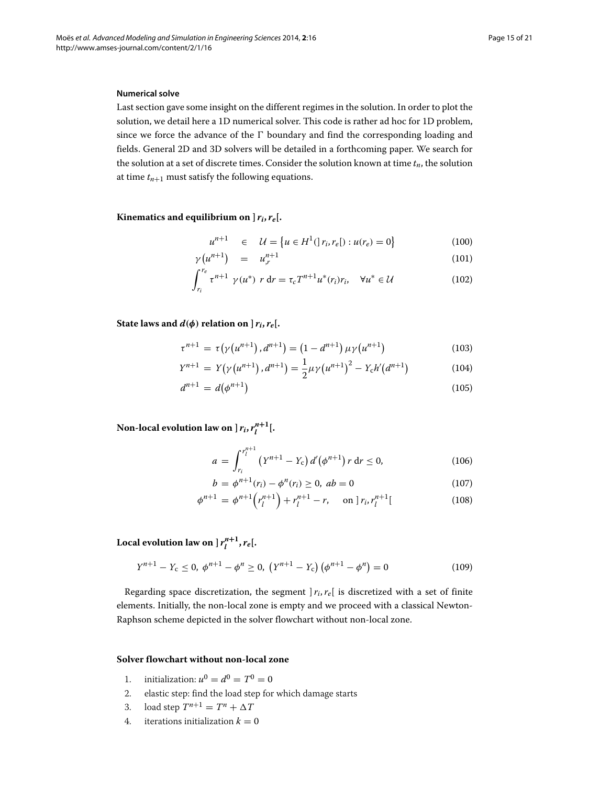#### **Numerical solve**

Last section gave some insight on the different regimes in the solution. In order to plot the solution, we detail here a 1D numerical solver. This code is rather ad hoc for 1D problem, since we force the advance of the  $\Gamma$  boundary and find the corresponding loading and fields. General 2D and 3D solvers will be detailed in a forthcoming paper. We search for the solution at a set of discrete times. Consider the solution known at time  $t_n$ , the solution at time  $t_{n+1}$  must satisfy the following equations.

#### **Kinematics and equilibrium on ]** *ri***,** *re***[.**

$$
u^{n+1} \in \mathcal{U} = \left\{ u \in H^1(|r_i, r_e|) : u(r_e) = 0 \right\}
$$
 (100)

$$
\gamma(u^{n+1}) = u_r^{n+1} \tag{101}
$$

$$
\int_{r_i}^{r_e} \tau^{n+1} \ \gamma(u^*) \ r \ dr = \tau_c T^{n+1} u^*(r_i) r_i, \quad \forall u^* \in \mathcal{U}
$$
 (102)

**State laws and**  $d(\phi)$  **relation on**  $|r_i, r_e|$ .

$$
\tau^{n+1} = \tau(\gamma(u^{n+1}), d^{n+1}) = (1 - d^{n+1}) \mu \gamma(u^{n+1}) \tag{103}
$$

$$
Y^{n+1} = Y(\gamma(u^{n+1}), d^{n+1}) = \frac{1}{2} \mu \gamma(u^{n+1})^2 - Y_c h'(d^{n+1})
$$
 (104)

$$
d^{n+1} = d(\phi^{n+1})
$$
 (105)

Non-local evolution law on  $|r_i, r_l^{n+1}|$ .

$$
a = \int_{r_i}^{r_i^{n+1}} \left( Y^{n+1} - Y_c \right) d' \left( \phi^{n+1} \right) r \, \mathrm{d}r \le 0, \tag{106}
$$

$$
b = \phi^{n+1}(r_i) - \phi^n(r_i) \ge 0, \ ab = 0 \tag{107}
$$

$$
\phi^{n+1} = \phi^{n+1} \left( r_l^{n+1} \right) + r_l^{n+1} - r, \quad \text{on } ] r_i, r_l^{n+1} [ \tag{108}
$$

Local evolution law on  $|r_l^{n+1}, r_e$ .

$$
Y^{n+1} - Y_c \le 0, \ \phi^{n+1} - \phi^n \ge 0, \ \left(Y^{n+1} - Y_c\right) \left(\phi^{n+1} - \phi^n\right) = 0 \tag{109}
$$

Regarding space discretization, the segment  $|r_i, r_e|$  is discretized with a set of finite elements. Initially, the non-local zone is empty and we proceed with a classical Newton-Raphson scheme depicted in the solver flowchart without non-local zone.

#### **Solver flowchart without non-local zone**

- 1. initialization:  $u^0 = d^0 = T^0 = 0$
- 2. elastic step: find the load step for which damage starts
- 3. load step  $T^{n+1} = T^n + \Delta T$
- 4. iterations initialization  $k = 0$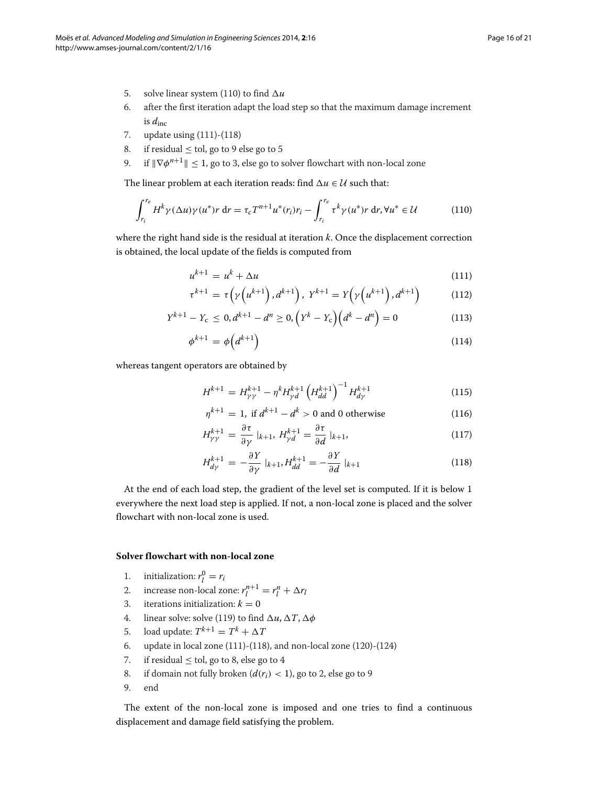- 5. solve linear system [\(110\)](#page-15-0) to find  $\Delta u$
- 6. after the first iteration adapt the load step so that the maximum damage increment is *d*inc
- 7. update using [\(111\)](#page-15-1)-[\(118\)](#page-15-2)
- 8. if residual  $\leq$  tol, go to 9 else go to 5
- 9. if  $\|\nabla \phi^{n+1}\| \leq 1$ , go to 3, else go to solver flowchart with non-local zone

The linear problem at each iteration reads: find  $\Delta u \in \mathcal{U}$  such that:

$$
\int_{r_i}^{r_e} H^k \gamma(\Delta u) \gamma(u^*) r \, \mathrm{d}r = \tau_c T^{n+1} u^*(r_i) r_i - \int_{r_i}^{r_e} \tau^k \gamma(u^*) r \, \mathrm{d}r, \forall u^* \in \mathcal{U}
$$
\n(110)

where the right hand side is the residual at iteration *k*. Once the displacement correction is obtained, the local update of the fields is computed from

<span id="page-15-1"></span><span id="page-15-0"></span>
$$
u^{k+1} = u^k + \Delta u \tag{111}
$$

$$
\tau^{k+1} = \tau(\gamma(u^{k+1}), d^{k+1}), Y^{k+1} = Y(\gamma(u^{k+1}), d^{k+1})
$$
 (112)

$$
Y^{k+1} - Y_c \le 0, d^{k+1} - d^n \ge 0, (Y^k - Y_c)(d^k - d^n) = 0
$$
\n(113)

$$
\phi^{k+1} = \phi\left(d^{k+1}\right) \tag{114}
$$

whereas tangent operators are obtained by

<span id="page-15-2"></span>
$$
H^{k+1} = H_{\gamma\gamma}^{k+1} - \eta^k H_{\gamma d}^{k+1} \left( H_{dd}^{k+1} \right)^{-1} H_{d\gamma}^{k+1}
$$
 (115)

$$
\eta^{k+1} = 1, \text{ if } d^{k+1} - d^k > 0 \text{ and } 0 \text{ otherwise} \tag{116}
$$

$$
H_{\gamma\gamma}^{k+1} = \frac{\partial \tau}{\partial \gamma} \mid_{k+1}, H_{\gamma d}^{k+1} = \frac{\partial \tau}{\partial d} \mid_{k+1},
$$
\n(117)

$$
H_{d\gamma}^{k+1} = -\frac{\partial Y}{\partial \gamma} \mid_{k+1}, H_{dd}^{k+1} = -\frac{\partial Y}{\partial d} \mid_{k+1}
$$
 (118)

At the end of each load step, the gradient of the level set is computed. If it is below 1 everywhere the next load step is applied. If not, a non-local zone is placed and the solver flowchart with non-local zone is used.

#### **Solver flowchart with non-local zone**

- 1. initialization:  $r_l^0 = r_i$
- 2. increase non-local zone:  $r_l^{n+1} = r_l^n + \Delta r_l$
- 3. iterations initialization:  $k = 0$
- 4. linear solve: solve [\(119\)](#page-16-0) to find  $\Delta u$ ,  $\Delta T$ ,  $\Delta \phi$
- 5. load update:  $T^{k+1} = T^k + \Delta T$
- 6. update in local zone [\(111\)](#page-15-1)-[\(118\)](#page-15-2), and non-local zone [\(120\)](#page-16-1)-[\(124\)](#page-16-1)
- 7. if residual  $\leq$  tol, go to 8, else go to 4
- 8. if domain not fully broken  $(d(r_i) < 1)$ , go to 2, else go to 9
- 9. end

The extent of the non-local zone is imposed and one tries to find a continuous displacement and damage field satisfying the problem.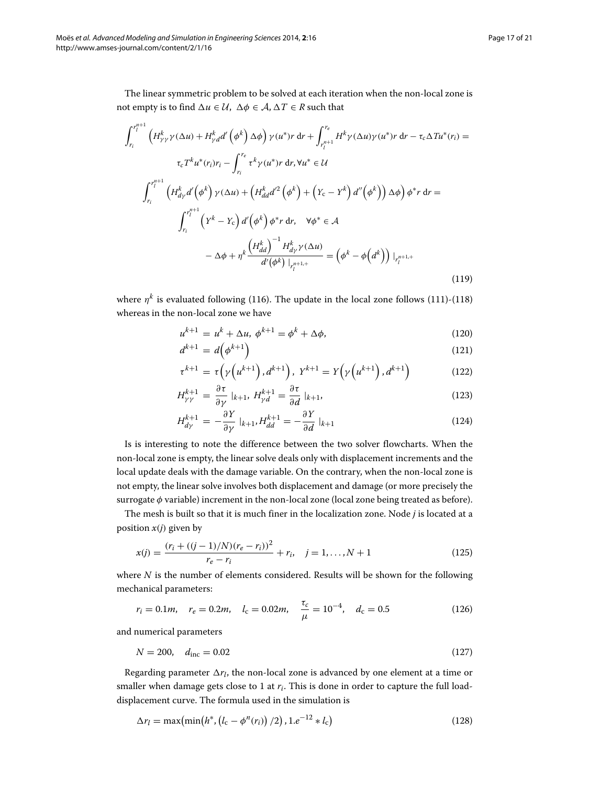The linear symmetric problem to be solved at each iteration when the non-local zone is not empty is to find  $\Delta u \in \mathcal{U}$ ,  $\Delta \phi \in \mathcal{A}$ ,  $\Delta T \in \mathbb{R}$  such that

<span id="page-16-0"></span>
$$
\int_{r_i}^{r_i^{n+1}} \left( H_{\gamma\gamma}^k \gamma(\Delta u) + H_{\gamma d}^k d' \left( \phi^k \right) \Delta \phi \right) \gamma(u^*) r \, dr + \int_{r_i^{n+1}}^{r_e} H^k \gamma(\Delta u) \gamma(u^*) r \, dr - \tau_c \Delta T u^* (r_i) =
$$
  

$$
\tau_c T^k u^* (r_i) r_i - \int_{r_i}^{r_e} \tau^k \gamma(u^*) r \, dr, \forall u^* \in \mathcal{U}
$$
  

$$
\int_{r_i}^{r_i^{n+1}} \left( H_{d\gamma}^k d' \left( \phi^k \right) \gamma(\Delta u) + \left( H_{d\gamma}^k d'^2 \left( \phi^k \right) + \left( Y_c - Y^k \right) d'' \left( \phi^k \right) \right) \Delta \phi \right) \phi^* r \, dr =
$$
  

$$
\int_{r_i}^{r_i^{n+1}} \left( Y^k - Y_c \right) d' \left( \phi^k \right) \phi^* r \, dr, \quad \forall \phi^* \in \mathcal{A}
$$
  

$$
-\Delta \phi + \eta^k \frac{\left( H_{d\gamma}^k \right)^{-1} H_{d\gamma}^k \gamma(\Delta u)}{d'(\phi^k) \Big|_{r_i^{n+1,+}}} = \left( \phi^k - \phi \left( d^k \right) \right) \Big|_{r_i^{n+1,+}} \tag{119}
$$

where  $\eta^k$  is evaluated following [\(116\)](#page-15-2). The update in the local zone follows [\(111\)](#page-15-1)-[\(118\)](#page-15-2) whereas in the non-local zone we have

<span id="page-16-1"></span>
$$
u^{k+1} = u^k + \Delta u, \, \phi^{k+1} = \phi^k + \Delta \phi,\tag{120}
$$

$$
d^{k+1} = d\left(\phi^{k+1}\right) \tag{121}
$$

$$
\tau^{k+1} = \tau(\gamma(u^{k+1}), d^{k+1}), Y^{k+1} = Y(\gamma(u^{k+1}), d^{k+1})
$$
 (122)

$$
H_{\gamma\gamma}^{k+1} = \frac{\partial \tau}{\partial \gamma} \mid_{k+1}, H_{\gamma d}^{k+1} = \frac{\partial \tau}{\partial d} \mid_{k+1},
$$
\n(123)

$$
H_{d\gamma}^{k+1} = -\frac{\partial Y}{\partial \gamma} \mid_{k+1}, H_{dd}^{k+1} = -\frac{\partial Y}{\partial d} \mid_{k+1}
$$
 (124)

Is is interesting to note the difference between the two solver flowcharts. When the non-local zone is empty, the linear solve deals only with displacement increments and the local update deals with the damage variable. On the contrary, when the non-local zone is not empty, the linear solve involves both displacement and damage (or more precisely the surrogate  $\phi$  variable) increment in the non-local zone (local zone being treated as before).

The mesh is built so that it is much finer in the localization zone. Node *j* is located at a position  $x(j)$  given by

$$
x(j) = \frac{(r_i + ((j-1)/N)(r_e - r_i))^2}{r_e - r_i} + r_i, \quad j = 1, ..., N + 1
$$
\n(125)

where *N* is the number of elements considered. Results will be shown for the following mechanical parameters:

$$
r_i = 0.1m
$$
,  $r_e = 0.2m$ ,  $l_c = 0.02m$ ,  $\frac{\tau_c}{\mu} = 10^{-4}$ ,  $d_c = 0.5$  (126)

and numerical parameters

$$
N = 200, \quad d_{\text{inc}} = 0.02 \tag{127}
$$

Regarding parameter  $\Delta r_l$ , the non-local zone is advanced by one element at a time or smaller when damage gets close to 1 at *ri*. This is done in order to capture the full loaddisplacement curve. The formula used in the simulation is

$$
\Delta r_l = \max(\min(h^*, (l_c - \phi^n(r_i)) / 2), 1.e^{-12} * l_c)
$$
\n(128)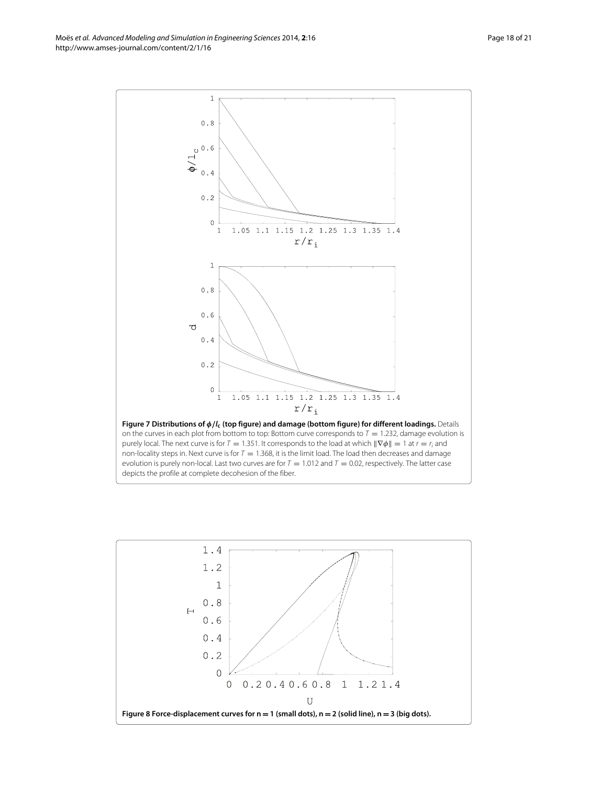Moës *et al. Advanced Modeling and Simulation in Engineering Sciences* 2014, **2**:16 Page 18 of 21 http://www.amses-journal.com/content/2/1/16



<span id="page-17-1"></span><span id="page-17-0"></span>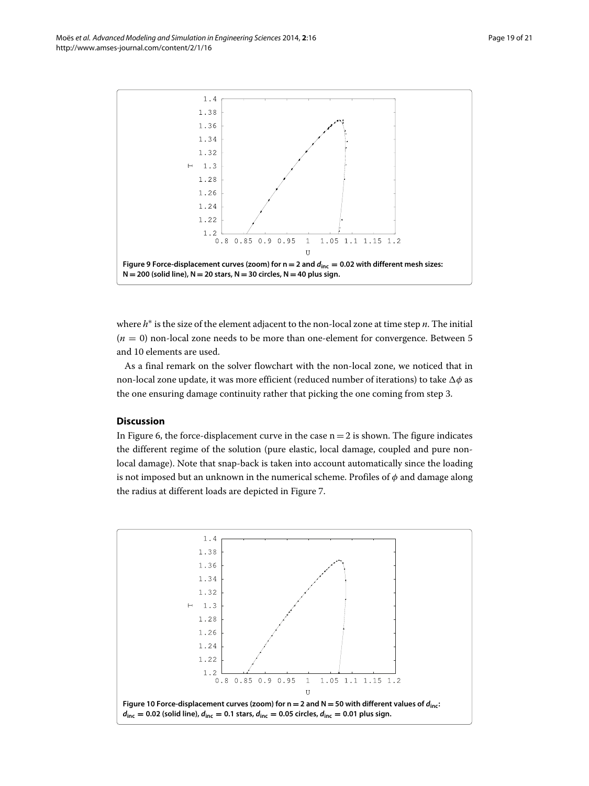

<span id="page-18-0"></span>where *h*∗ is the size of the element adjacent to the non-local zone at time step *n*. The initial  $(n = 0)$  non-local zone needs to be more than one-element for convergence. Between 5 and 10 elements are used.

As a final remark on the solver flowchart with the non-local zone, we noticed that in non-local zone update, it was more efficient (reduced number of iterations) to take  $\Delta \phi$  as the one ensuring damage continuity rather that picking the one coming from step 3.

#### **Discussion**

In Figure [6,](#page-11-0) the force-displacement curve in the case  $n = 2$  is shown. The figure indicates the different regime of the solution (pure elastic, local damage, coupled and pure nonlocal damage). Note that snap-back is taken into account automatically since the loading is not imposed but an unknown in the numerical scheme. Profiles of  $\phi$  and damage along the radius at different loads are depicted in Figure [7.](#page-17-0)

<span id="page-18-1"></span>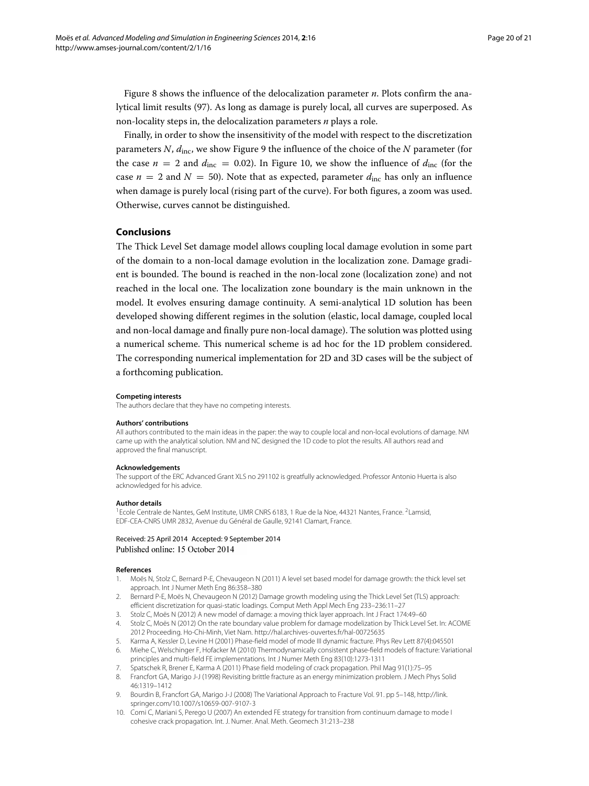Figure [8](#page-17-1) shows the influence of the delocalization parameter *n*. Plots confirm the analytical limit results [\(97\)](#page-13-1). As long as damage is purely local, all curves are superposed. As non-locality steps in, the delocalization parameters *n* plays a role.

Finally, in order to show the insensitivity of the model with respect to the discretization parameters *N*, *d*inc, we show Figure [9](#page-18-0) the influence of the choice of the *N* parameter (for the case  $n = 2$  and  $d_{inc} = 0.02$ ). In Figure [10,](#page-18-1) we show the influence of  $d_{inc}$  (for the case  $n = 2$  and  $N = 50$ ). Note that as expected, parameter  $d_{inc}$  has only an influence when damage is purely local (rising part of the curve). For both figures, a zoom was used. Otherwise, curves cannot be distinguished.

#### **Conclusions**

The Thick Level Set damage model allows coupling local damage evolution in some part of the domain to a non-local damage evolution in the localization zone. Damage gradient is bounded. The bound is reached in the non-local zone (localization zone) and not reached in the local one. The localization zone boundary is the main unknown in the model. It evolves ensuring damage continuity. A semi-analytical 1D solution has been developed showing different regimes in the solution (elastic, local damage, coupled local and non-local damage and finally pure non-local damage). The solution was plotted using a numerical scheme. This numerical scheme is ad hoc for the 1D problem considered. The corresponding numerical implementation for 2D and 3D cases will be the subject of a forthcoming publication.

#### **Competing interests**

The authors declare that they have no competing interests.

#### **Authors' contributions**

All authors contributed to the main ideas in the paper: the way to couple local and non-local evolutions of damage. NM came up with the analytical solution. NM and NC designed the 1D code to plot the results. All authors read and approved the final manuscript.

#### **Acknowledgements**

The support of the ERC Advanced Grant XLS no 291102 is greatfully acknowledged. Professor Antonio Huerta is also acknowledged for his advice.

#### **Author details**

<sup>1</sup> Ecole Centrale de Nantes, GeM Institute, UMR CNRS 6183, 1 Rue de la Noe, 44321 Nantes, France. <sup>2</sup> Lamsid, EDF-CEA-CNRS UMR 2832, Avenue du Général de Gaulle, 92141 Clamart, France.

#### Received: 25 April 2014 Accepted: 9 September 2014 Published online: 15 October 2014

#### **References**

- <span id="page-19-0"></span>1. Moës N, Stolz C, Bernard P-E, Chevaugeon N (2011) A level set based model for damage growth: the thick level set approach. Int J Numer Meth Eng 86:358–380
- <span id="page-19-1"></span>2. Bernard P-E, Moës N, Chevaugeon N (2012) Damage growth modeling using the Thick Level Set (TLS) approach: efficient discretization for quasi-static loadings. Comput Meth Appl Mech Eng 233–236:11–27
- <span id="page-19-2"></span>3. Stolz C, Moës N (2012) A new model of damage: a moving thick layer approach. Int J Fract 174:49–60
- <span id="page-19-3"></span>4. Stolz C, Moës N (2012) On the rate boundary value problem for damage modelization by Thick Level Set. In: ACOME 2012 Proceeding. Ho-Chi-Minh, Viet Nam.<http://hal.archives-ouvertes.fr/hal-00725635>
- <span id="page-19-4"></span>5. Karma A, Kessler D, Levine H (2001) Phase-field model of mode III dynamic fracture. Phys Rev Lett 87(4):045501
- 6. Miehe C, Welschinger F, Hofacker M (2010) Thermodynamically consistent phase-field models of fracture: Variational principles and multi-field FE implementations. Int J Numer Meth Eng 83(10):1273-1311
- <span id="page-19-5"></span>7. Spatschek R, Brener E, Karma A (2011) Phase field modeling of crack propagation. Phil Mag 91(1):75–95
- <span id="page-19-6"></span>8. Francfort GA, Marigo J-J (1998) Revisiting brittle fracture as an energy minimization problem. J Mech Phys Solid 46:1319–1412
- <span id="page-19-7"></span>9. Bourdin B, Francfort GA, Marigo J-J (2008) The Variational Approach to Fracture Vol. 91. pp 5–148, [http://link.](http://link.springer.com/10.1007/s10659-007-9107-3) [springer.com/10.1007/s10659-007-9107-3](http://link.springer.com/10.1007/s10659-007-9107-3)
- <span id="page-19-8"></span>10. Comi C, Mariani S, Perego U (2007) An extended FE strategy for transition from continuum damage to mode I cohesive crack propagation. Int. J. Numer. Anal. Meth. Geomech 31:213–238